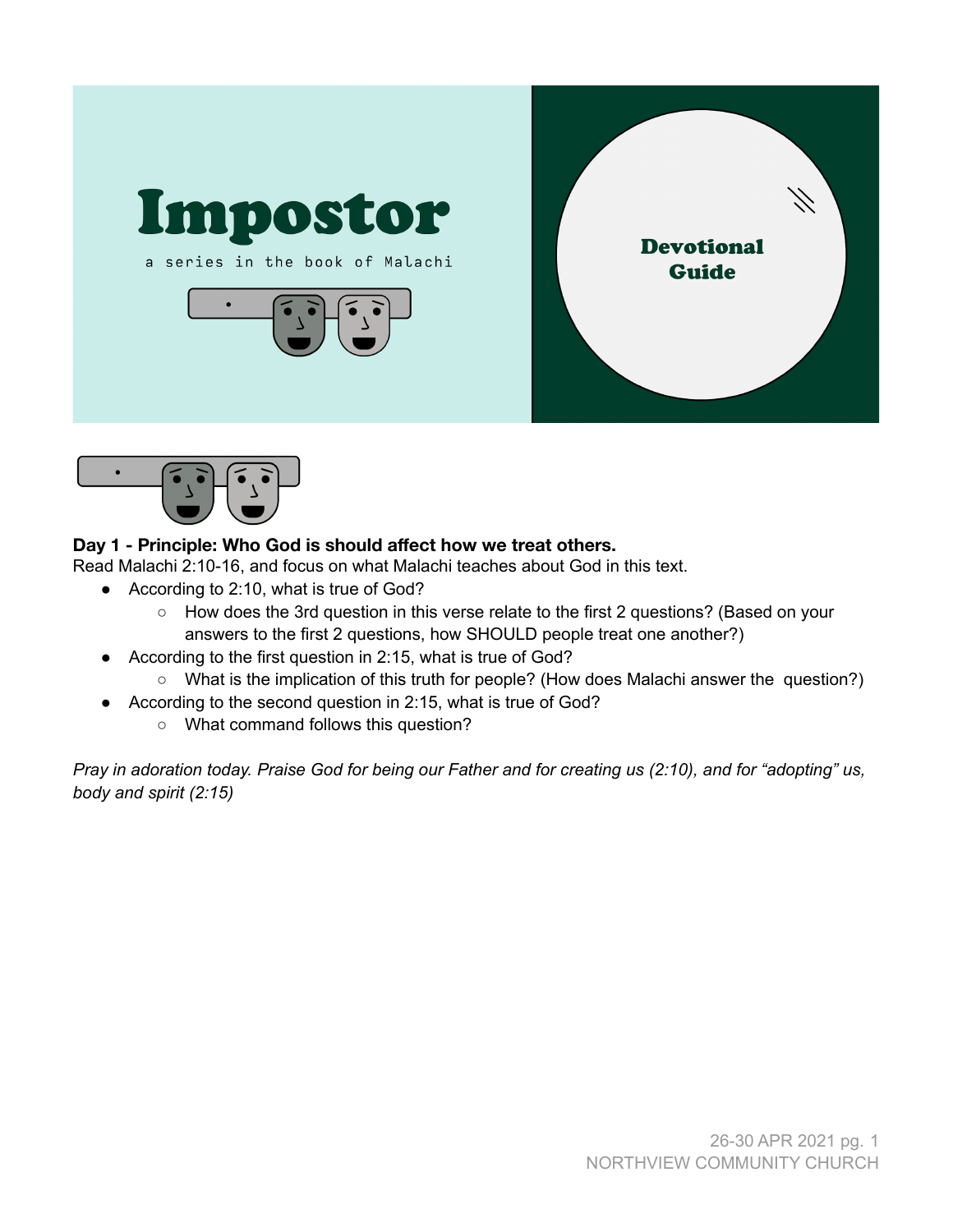



# **Day 1 - Principle: Who God is should affect how we treat others.**

Read Malachi 2:10-16, and focus on what Malachi teaches about God in this text.

- According to 2:10, what is true of God?
	- How does the 3rd question in this verse relate to the first 2 questions? (Based on your answers to the first 2 questions, how SHOULD people treat one another?)
- According to the first question in 2:15, what is true of God?
	- What is the implication of this truth for people? (How does Malachi answer the question?)
- According to the second question in 2:15, what is true of God?
	- What command follows this question?

Pray in adoration today. Praise God for being our Father and for creating us (2:10), and for "adopting" us, *body and spirit (2:15)*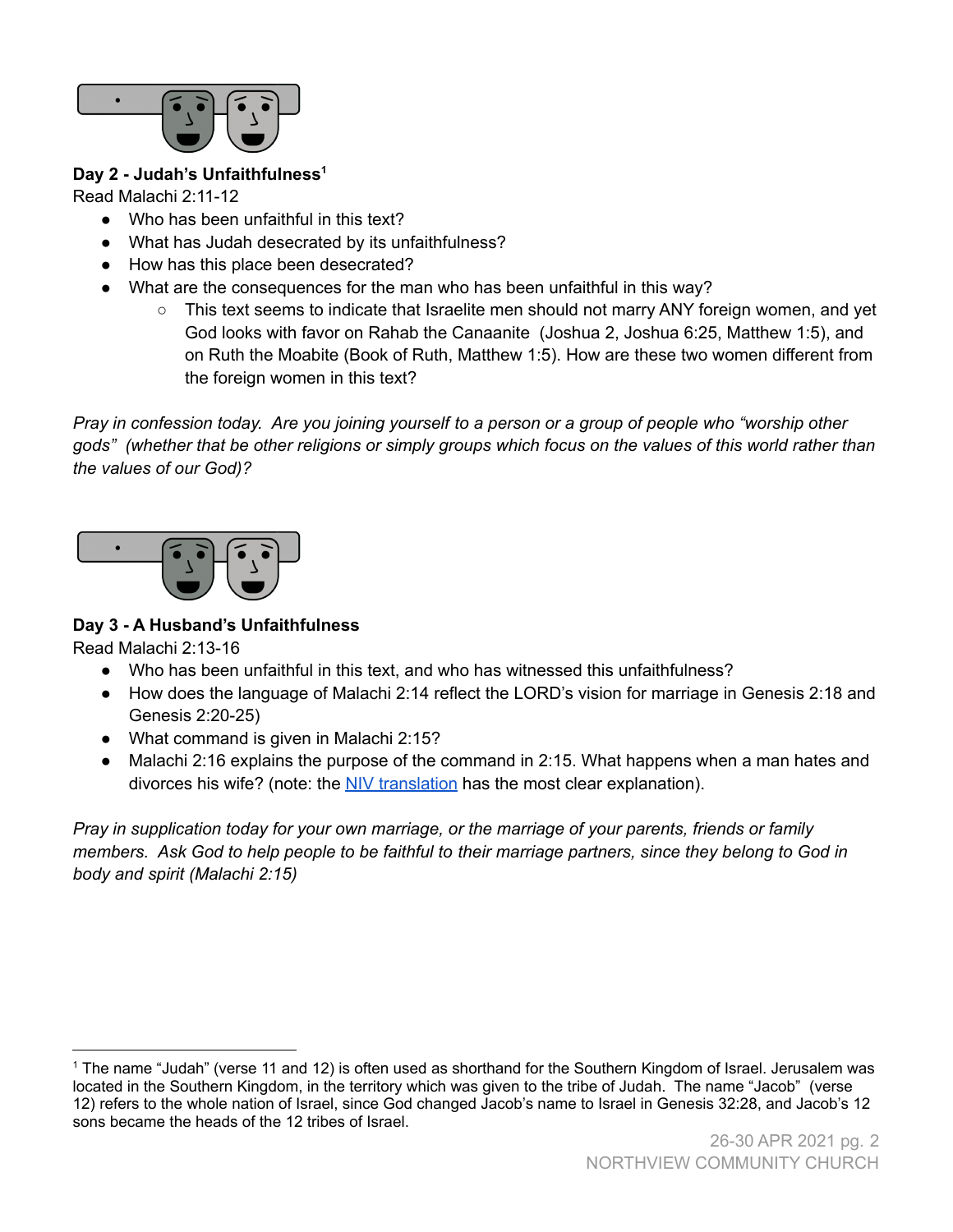

# **Day 2 - Judah's Unfaithfulness 1**

Read Malachi 2:11-12

- Who has been unfaithful in this text?
- What has Judah desecrated by its unfaithfulness?
- How has this place been desecrated?
- What are the consequences for the man who has been unfaithful in this way?
	- This text seems to indicate that Israelite men should not marry ANY foreign women, and yet God looks with favor on Rahab the Canaanite (Joshua 2, Joshua 6:25, Matthew 1:5), and on Ruth the Moabite (Book of Ruth, Matthew 1:5). How are these two women different from the foreign women in this text?

Pray in confession today. Are you joining yourself to a person or a group of people who "worship other gods" (whether that be other religions or simply groups which focus on the values of this world rather than *the values of our God)?*



# **Day 3 - A Husband's Unfaithfulness**

Read Malachi 2:13-16

- Who has been unfaithful in this text, and who has witnessed this unfaithfulness?
- How does the language of Malachi 2:14 reflect the LORD's vision for marriage in Genesis 2:18 and Genesis 2:20-25)
- What command is given in Malachi 2:15?
- Malachi 2:16 explains the purpose of the command in 2:15. What happens when a man hates and divorces his wife? (note: the NIV [translation](https://www.biblegateway.com/passage/?search=Malachi+2%3A16&version=NIV) has the most clear explanation).

*Pray in supplication today for your own marriage, or the marriage of your parents, friends or family* members. Ask God to help people to be faithful to their marriage partners, since they belong to God in *body and spirit (Malachi 2:15)*

<sup>1</sup> The name "Judah" (verse 11 and 12) is often used as shorthand for the Southern Kingdom of Israel. Jerusalem was located in the Southern Kingdom, in the territory which was given to the tribe of Judah. The name "Jacob" (verse 12) refers to the whole nation of Israel, since God changed Jacob's name to Israel in Genesis 32:28, and Jacob's 12 sons became the heads of the 12 tribes of Israel.